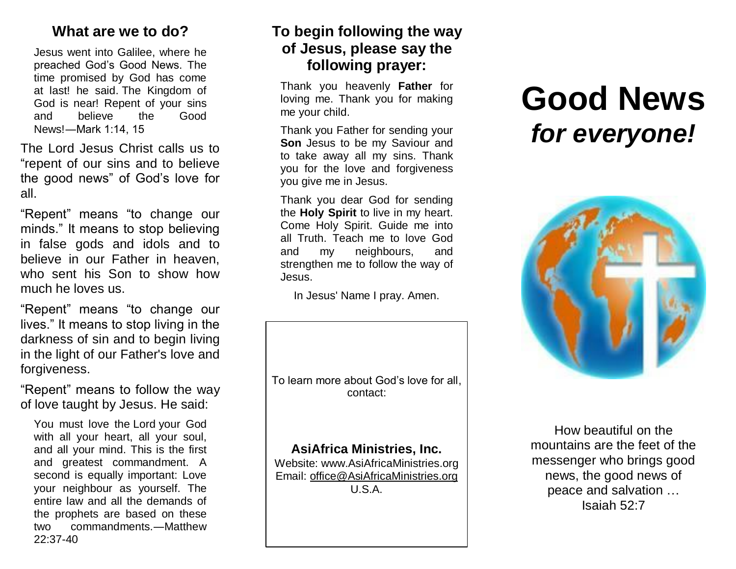## **What are we to do?**

Jesus went into Galilee, where he preached God's Good News. The time promised by God has come at last! he said. The Kingdom of God is near! Repent of your sins and believe the Good News!―Mark 1:14, 15

The Lord Jesus Christ calls us to "repent of our sins and to believe the good news" of God's love for all.

"Repent" means "to change our minds." It means to stop believing in false gods and idols and to believe in our Father in heaven, who sent his Son to show how much he loves us.

"Repent" means "to change our lives." It means to stop living in the darkness of sin and to begin living in the light of our Father's love and forgiveness.

"Repent" means to follow the way of love taught by Jesus. He said:

You must love the Lord your God with all your heart, all your soul, and all your mind. This is the first and greatest commandment. A second is equally important: Love your neighbour as yourself. The entire law and all the demands of the prophets are based on these two commandments.―Matthew 22:37-40

## **To begin following the way of Jesus, please say the following prayer:**

Thank you heavenly **Father** for loving me. Thank you for making me your child.

Thank you Father for sending your **Son** Jesus to be my Saviour and to take away all my sins. Thank you for the love and forgiveness you give me in Jesus.

Thank you dear God for sending the **Holy Spirit** to live in my heart. Come Holy Spirit. Guide me into all Truth. Teach me to love God and my neighbours, and strengthen me to follow the way of Jesus.

In Jesus' Name I pray. Amen.

To learn more about God's love for all, contact:

**AsiAfrica Ministries, Inc.**

Website: www.AsiAfricaMinistries.org Email: [office@AsiAfricaMinistries.org](mailto:office@AsiAfricaMinistries.org) U.S.A.

## **Good News** *for everyone!*



How beautiful on the mountains are the feet of the messenger who brings good news, the good news of peace and salvation … Isaiah 52:7